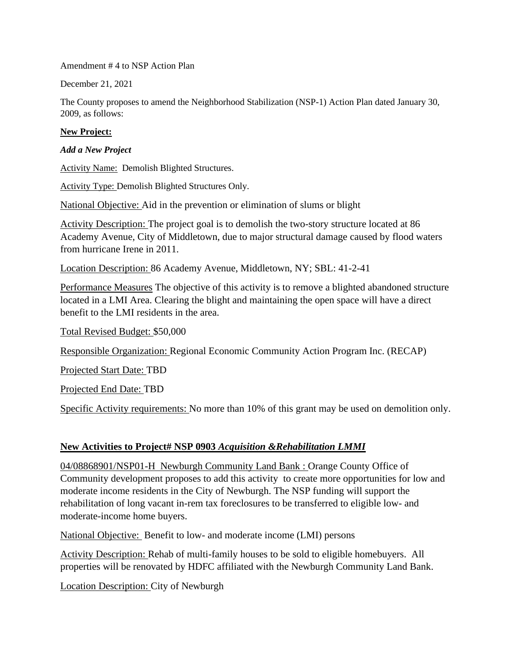Amendment # 4 to NSP Action Plan

December 21, 2021

The County proposes to amend the Neighborhood Stabilization (NSP-1) Action Plan dated January 30, 2009, as follows:

#### **New Project:**

#### *Add a New Project*

Activity Name: Demolish Blighted Structures.

Activity Type: Demolish Blighted Structures Only.

National Objective: Aid in the prevention or elimination of slums or blight

Activity Description: The project goal is to demolish the two-story structure located at 86 Academy Avenue, City of Middletown, due to major structural damage caused by flood waters from hurricane Irene in 2011.

Location Description: 86 Academy Avenue, Middletown, NY; SBL: 41-2-41

Performance Measures The objective of this activity is to remove a blighted abandoned structure located in a LMI Area. Clearing the blight and maintaining the open space will have a direct benefit to the LMI residents in the area.

Total Revised Budget: \$50,000

Responsible Organization: Regional Economic Community Action Program Inc. (RECAP)

Projected Start Date: TBD

Projected End Date: TBD

Specific Activity requirements: No more than 10% of this grant may be used on demolition only.

#### **New Activities to Project# NSP 0903** *Acquisition &Rehabilitation LMMI*

04/08868901/NSP01-H Newburgh Community Land Bank : Orange County Office of Community development proposes to add this activity to create more opportunities for low and moderate income residents in the City of Newburgh. The NSP funding will support the rehabilitation of long vacant in-rem tax foreclosures to be transferred to eligible low- and moderate-income home buyers.

National Objective: Benefit to low- and moderate income (LMI) persons

Activity Description: Rehab of multi-family houses to be sold to eligible homebuyers. All properties will be renovated by HDFC affiliated with the Newburgh Community Land Bank.

Location Description: City of Newburgh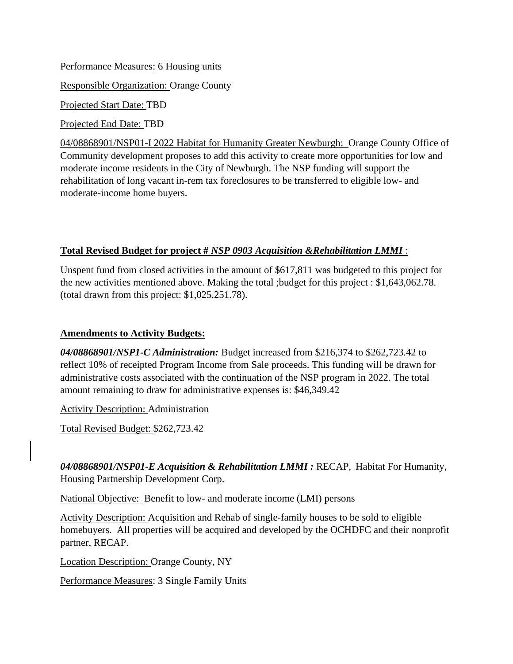Performance Measures: 6 Housing units Responsible Organization: Orange County Projected Start Date: TBD

Projected End Date: TBD

04/08868901/NSP01-I 2022 Habitat for Humanity Greater Newburgh: Orange County Office of Community development proposes to add this activity to create more opportunities for low and moderate income residents in the City of Newburgh. The NSP funding will support the rehabilitation of long vacant in-rem tax foreclosures to be transferred to eligible low- and moderate-income home buyers.

# **Total Revised Budget for project #** *NSP 0903 Acquisition &Rehabilitation LMMI* :

Unspent fund from closed activities in the amount of \$617,811 was budgeted to this project for the new activities mentioned above. Making the total ;budget for this project : \$1,643,062.78. (total drawn from this project: \$1,025,251.78).

# **Amendments to Activity Budgets:**

*04/08868901/NSP1-C Administration:* Budget increased from \$216,374 to \$262,723.42 to reflect 10% of receipted Program Income from Sale proceeds. This funding will be drawn for administrative costs associated with the continuation of the NSP program in 2022. The total amount remaining to draw for administrative expenses is: \$46,349.42

Activity Description: Administration

Total Revised Budget: \$262,723.42

04/08868901/NSP01-E Acquisition & Rehabilitation LMMI: RECAP, Habitat For Humanity, Housing Partnership Development Corp.

National Objective: Benefit to low- and moderate income (LMI) persons

Activity Description: Acquisition and Rehab of single-family houses to be sold to eligible homebuyers. All properties will be acquired and developed by the OCHDFC and their nonprofit partner, RECAP.

Location Description: Orange County, NY

Performance Measures: 3 Single Family Units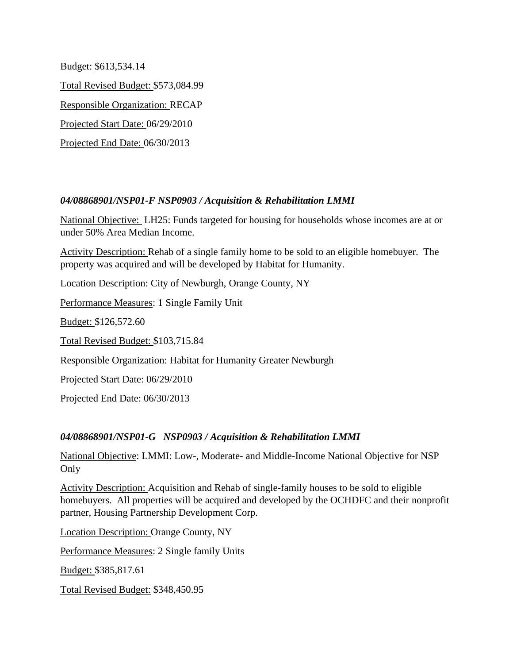Budget: \$613,534.14 Total Revised Budget: \$573,084.99 Responsible Organization: RECAP Projected Start Date: 06/29/2010 Projected End Date: 06/30/2013

# *04/08868901/NSP01-F NSP0903 / Acquisition & Rehabilitation LMMI*

National Objective: LH25: Funds targeted for housing for households whose incomes are at or under 50% Area Median Income.

Activity Description: Rehab of a single family home to be sold to an eligible homebuyer. The property was acquired and will be developed by Habitat for Humanity.

Location Description: City of Newburgh, Orange County, NY

Performance Measures: 1 Single Family Unit

Budget: \$126,572.60

Total Revised Budget: \$103,715.84

Responsible Organization: Habitat for Humanity Greater Newburgh

Projected Start Date: 06/29/2010

Projected End Date: 06/30/2013

# *04/08868901/NSP01-G NSP0903 / Acquisition & Rehabilitation LMMI*

National Objective: LMMI: Low-, Moderate- and Middle-Income National Objective for NSP Only

Activity Description: Acquisition and Rehab of single-family houses to be sold to eligible homebuyers. All properties will be acquired and developed by the OCHDFC and their nonprofit partner, Housing Partnership Development Corp.

Location Description: Orange County, NY Performance Measures: 2 Single family Units Budget: \$385,817.61 Total Revised Budget: \$348,450.95